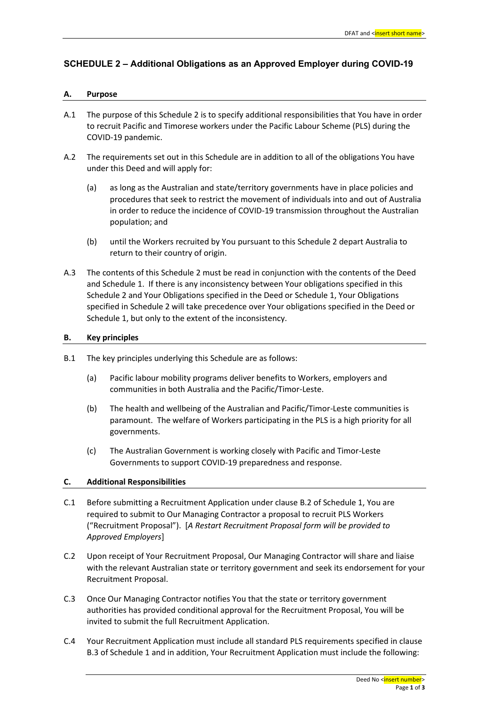## **SCHEDULE 2 – Additional Obligations as an Approved Employer during COVID-19**

## **A. Purpose**

- A.1 The purpose of this Schedule 2 is to specify additional responsibilities that You have in order to recruit Pacific and Timorese workers under the Pacific Labour Scheme (PLS) during the COVID-19 pandemic.
- A.2 The requirements set out in this Schedule are in addition to all of the obligations You have under this Deed and will apply for:
	- (a) as long as the Australian and state/territory governments have in place policies and procedures that seek to restrict the movement of individuals into and out of Australia in order to reduce the incidence of COVID-19 transmission throughout the Australian population; and
	- (b) until the Workers recruited by You pursuant to this Schedule 2 depart Australia to return to their country of origin.
- A.3 The contents of this Schedule 2 must be read in conjunction with the contents of the Deed and Schedule 1. If there is any inconsistency between Your obligations specified in this Schedule 2 and Your Obligations specified in the Deed or Schedule 1, Your Obligations specified in Schedule 2 will take precedence over Your obligations specified in the Deed or Schedule 1, but only to the extent of the inconsistency.

## **B. Key principles**

- B.1 The key principles underlying this Schedule are as follows:
	- (a) Pacific labour mobility programs deliver benefits to Workers, employers and communities in both Australia and the Pacific/Timor-Leste.
	- (b) The health and wellbeing of the Australian and Pacific/Timor-Leste communities is paramount. The welfare of Workers participating in the PLS is a high priority for all governments.
	- (c) The Australian Government is working closely with Pacific and Timor-Leste Governments to support COVID-19 preparedness and response.

## **C. Additional Responsibilities**

- C.1 Before submitting a Recruitment Application under clause B.2 of Schedule 1, You are required to submit to Our Managing Contractor a proposal to recruit PLS Workers ("Recruitment Proposal"). [*A Restart Recruitment Proposal form will be provided to Approved Employers*]
- C.2 Upon receipt of Your Recruitment Proposal, Our Managing Contractor will share and liaise with the relevant Australian state or territory government and seek its endorsement for your Recruitment Proposal.
- C.3 Once Our Managing Contractor notifies You that the state or territory government authorities has provided conditional approval for the Recruitment Proposal, You will be invited to submit the full Recruitment Application.
- C.4 Your Recruitment Application must include all standard PLS requirements specified in clause B.3 of Schedule 1 and in addition, Your Recruitment Application must include the following: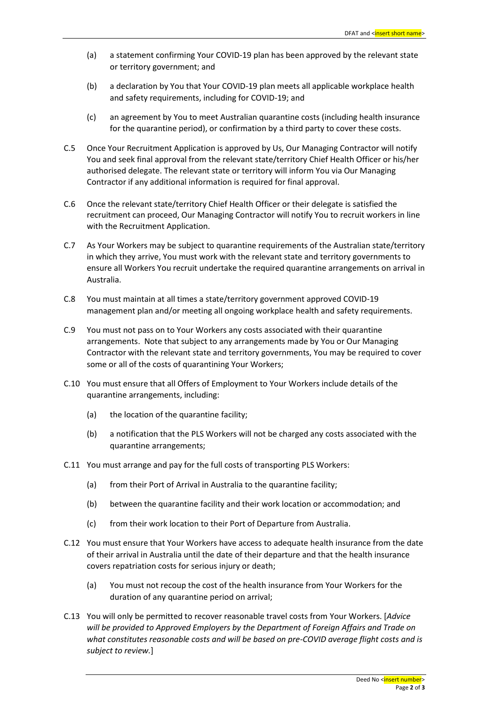- (a) a statement confirming Your COVID-19 plan has been approved by the relevant state or territory government; and
- (b) a declaration by You that Your COVID-19 plan meets all applicable workplace health and safety requirements, including for COVID-19; and
- (c) an agreement by You to meet Australian quarantine costs (including health insurance for the quarantine period), or confirmation by a third party to cover these costs.
- C.5 Once Your Recruitment Application is approved by Us, Our Managing Contractor will notify You and seek final approval from the relevant state/territory Chief Health Officer or his/her authorised delegate. The relevant state or territory will inform You via Our Managing Contractor if any additional information is required for final approval.
- C.6 Once the relevant state/territory Chief Health Officer or their delegate is satisfied the recruitment can proceed, Our Managing Contractor will notify You to recruit workers in line with the Recruitment Application.
- C.7 As Your Workers may be subject to quarantine requirements of the Australian state/territory in which they arrive, You must work with the relevant state and territory governments to ensure all Workers You recruit undertake the required quarantine arrangements on arrival in Australia.
- C.8 You must maintain at all times a state/territory government approved COVID-19 management plan and/or meeting all ongoing workplace health and safety requirements.
- C.9 You must not pass on to Your Workers any costs associated with their quarantine arrangements. Note that subject to any arrangements made by You or Our Managing Contractor with the relevant state and territory governments, You may be required to cover some or all of the costs of quarantining Your Workers;
- C.10 You must ensure that all Offers of Employment to Your Workers include details of the quarantine arrangements, including:
	- (a) the location of the quarantine facility;
	- (b) a notification that the PLS Workers will not be charged any costs associated with the quarantine arrangements;
- C.11 You must arrange and pay for the full costs of transporting PLS Workers:
	- (a) from their Port of Arrival in Australia to the quarantine facility;
	- (b) between the quarantine facility and their work location or accommodation; and
	- (c) from their work location to their Port of Departure from Australia.
- C.12 You must ensure that Your Workers have access to adequate health insurance from the date of their arrival in Australia until the date of their departure and that the health insurance covers repatriation costs for serious injury or death;
	- (a) You must not recoup the cost of the health insurance from Your Workers for the duration of any quarantine period on arrival;
- C.13 You will only be permitted to recover reasonable travel costs from Your Workers. [*Advice will be provided to Approved Employers by the Department of Foreign Affairs and Trade on what constitutes reasonable costs and will be based on pre-COVID average flight costs and is subject to review.*]